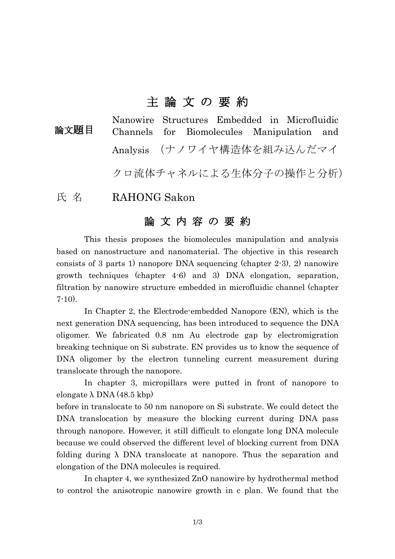## 主 論 文 の 要 約

Nanowire Structures Embedded in Microfluidic Channels for Biomolecules Manipulation and Analysis (ナノワイヤ構造体を組み込んだマイ 論文題目

クロ流体チャネルによる生体分子の操作と分析)

## 氏名 RAHONG Sakon

## 論 文 内 容 の 要 約

This thesis proposes the biomolecules manipulation and analysis based on nanostructure and nanomaterial. The objective in this research consists of 3 parts 1) nanopore DNA sequencing (chapter 2-3), 2) nanowire growth techniques (chapter 4-6) and 3) DNA elongation, separation, filtration by nanowire structure embedded in microfluidic channel (chapter  $7-10$ ).

In Chapter 2, the Electrode-embedded Nanopore (EN), which is the next generation DNA sequencing, has been introduced to sequence the DNA oligomer. We fabricated 0.8 nm Au electrode gap by electromigration breaking technique on Si substrate. EN provides us to know the sequence of DNA oligomer by the electron tunneling current measurement during translocate through the nanopore.

In chapter 3, micropillars were putted in front of nanopore to elongate  $\lambda$  DNA (48.5 kbp)

before in translocate to 50 nm nanopore on Si substrate. We could detect the DNA translocation by measure the blocking current during DNA pass through nanopore. However, it still difficult to elongate long DNA molecule because we could observed the different level of blocking current from DNA folding during λ DNA translocate at nanopore. Thus the separation and elongation of the DNA molecules is required.

In chapter 4, we synthesized ZnO nanowire by hydrothermal method to control the anisotropic nanowire growth in c plan. We found that the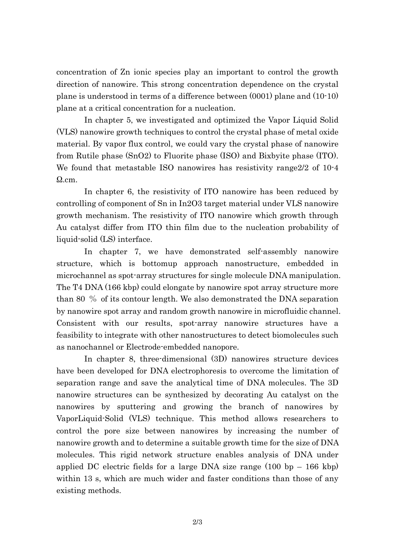concentration of Zn ionic species play an important to control the growth direction of nanowire. This strong concentration dependence on the crystal plane is understood in terms of a difference between (0001) plane and (10-10) plane at a critical concentration for a nucleation.

In chapter 5, we investigated and optimized the Vapor Liquid Solid (VLS) nanowire growth techniques to control the crystal phase of metal oxide material. By vapor flux control, we could vary the crystal phase of nanowire from Rutile phase (SnO2) to Fluorite phase (ISO) and Bixbyite phase (ITO). We found that metastable ISO nanowires has resistivity range2/2 of 10-4 Ω.cm.

In chapter 6, the resistivity of ITO nanowire has been reduced by controlling of component of Sn in In2O3 target material under VLS nanowire growth mechanism. The resistivity of ITO nanowire which growth through Au catalyst differ from ITO thin film due to the nucleation probability of liquid-solid (LS) interface.

In chapter 7, we have demonstrated self-assembly nanowire structure, which is bottomup approach nanostructure, embedded in microchannel as spot-array structures for single molecule DNA manipulation. The T4 DNA (166 kbp) could elongate by nanowire spot array structure more than 80 % of its contour length. We also demonstrated the DNA separation by nanowire spot array and random growth nanowire in microfluidic channel. Consistent with our results, spot-array nanowire structures have a feasibility to integrate with other nanostructures to detect biomolecules such as nanochannel or Electrode-embedded nanopore.

In chapter 8, three-dimensional (3D) nanowires structure devices have been developed for DNA electrophoresis to overcome the limitation of separation range and save the analytical time of DNA molecules. The 3D nanowire structures can be synthesized by decorating Au catalyst on the nanowires by sputtering and growing the branch of nanowires by VaporLiquid-Solid (VLS) technique. This method allows researchers to control the pore size between nanowires by increasing the number of nanowire growth and to determine a suitable growth time for the size of DNA molecules. This rigid network structure enables analysis of DNA under applied DC electric fields for a large DNA size range (100 bp – 166 kbp) within 13 s, which are much wider and faster conditions than those of any existing methods.